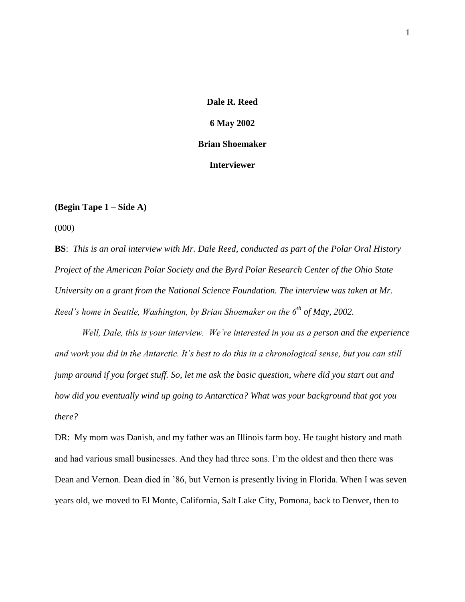**Dale R. Reed 6 May 2002 Brian Shoemaker Interviewer**

# **(Begin Tape 1 – Side A)**

(000)

**BS**: *This is an oral interview with Mr. Dale Reed, conducted as part of the Polar Oral History Project of the American Polar Society and the Byrd Polar Research Center of the Ohio State University on a grant from the National Science Foundation. The interview was taken at Mr. Reed's home in Seattle, Washington, by Brian Shoemaker on the 6th of May, 2002.* 

*Well, Dale, this is your interview. We're interested in you as a person and the experience and work you did in the Antarctic. It's best to do this in a chronological sense, but you can still jump around if you forget stuff. So, let me ask the basic question, where did you start out and how did you eventually wind up going to Antarctica? What was your background that got you there?*

DR: My mom was Danish, and my father was an Illinois farm boy. He taught history and math and had various small businesses. And they had three sons. I"m the oldest and then there was Dean and Vernon. Dean died in "86, but Vernon is presently living in Florida. When I was seven years old, we moved to El Monte, California, Salt Lake City, Pomona, back to Denver, then to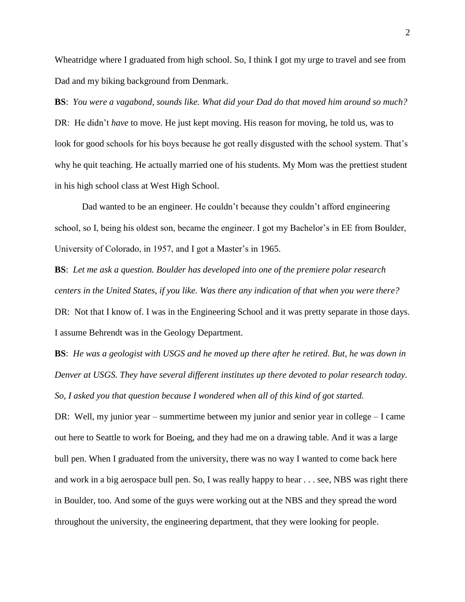Wheatridge where I graduated from high school. So, I think I got my urge to travel and see from Dad and my biking background from Denmark.

**BS**: *You were a vagabond, sounds like. What did your Dad do that moved him around so much?* DR: He didn't *have* to move. He just kept moving. His reason for moving, he told us, was to look for good schools for his boys because he got really disgusted with the school system. That's why he quit teaching. He actually married one of his students. My Mom was the prettiest student in his high school class at West High School.

Dad wanted to be an engineer. He couldn't because they couldn't afford engineering school, so I, being his oldest son, became the engineer. I got my Bachelor"s in EE from Boulder, University of Colorado, in 1957, and I got a Master's in 1965.

**BS**: *Let me ask a question. Boulder has developed into one of the premiere polar research centers in the United States, if you like. Was there any indication of that when you were there?* DR: Not that I know of. I was in the Engineering School and it was pretty separate in those days. I assume Behrendt was in the Geology Department.

**BS**: *He was a geologist with USGS and he moved up there after he retired. But, he was down in Denver at USGS. They have several different institutes up there devoted to polar research today. So, I asked you that question because I wondered when all of this kind of got started.* 

DR: Well, my junior year – summertime between my junior and senior year in college – I came out here to Seattle to work for Boeing, and they had me on a drawing table. And it was a large bull pen. When I graduated from the university, there was no way I wanted to come back here and work in a big aerospace bull pen. So, I was really happy to hear . . . see, NBS was right there in Boulder, too. And some of the guys were working out at the NBS and they spread the word throughout the university, the engineering department, that they were looking for people.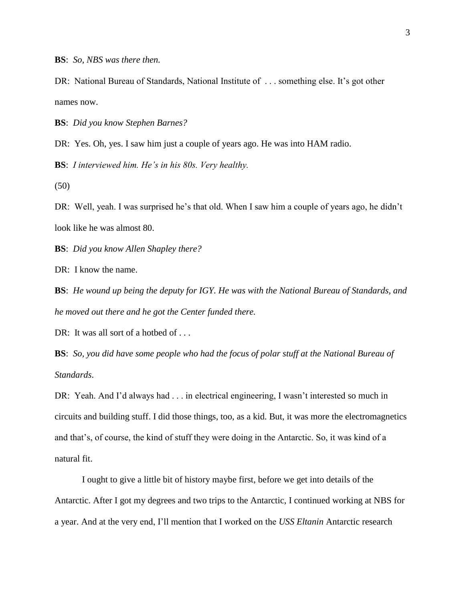**BS**: *So, NBS was there then.*

DR: National Bureau of Standards, National Institute of ... something else. It's got other names now.

**BS**: *Did you know Stephen Barnes?*

DR: Yes. Oh, yes. I saw him just a couple of years ago. He was into HAM radio.

**BS**: *I interviewed him. He's in his 80s. Very healthy.* 

(50)

DR: Well, yeah. I was surprised he's that old. When I saw him a couple of years ago, he didn't look like he was almost 80.

**BS**: *Did you know Allen Shapley there?*

DR: I know the name.

**BS**: *He wound up being the deputy for IGY. He was with the National Bureau of Standards, and he moved out there and he got the Center funded there.*

DR: It was all sort of a hotbed of ...

**BS**: *So, you did have some people who had the focus of polar stuff at the National Bureau of Standards*.

DR: Yeah. And I'd always had . . . in electrical engineering, I wasn't interested so much in circuits and building stuff. I did those things, too, as a kid. But, it was more the electromagnetics and that"s, of course, the kind of stuff they were doing in the Antarctic. So, it was kind of a natural fit.

I ought to give a little bit of history maybe first, before we get into details of the Antarctic. After I got my degrees and two trips to the Antarctic, I continued working at NBS for a year. And at the very end, I"ll mention that I worked on the *USS Eltanin* Antarctic research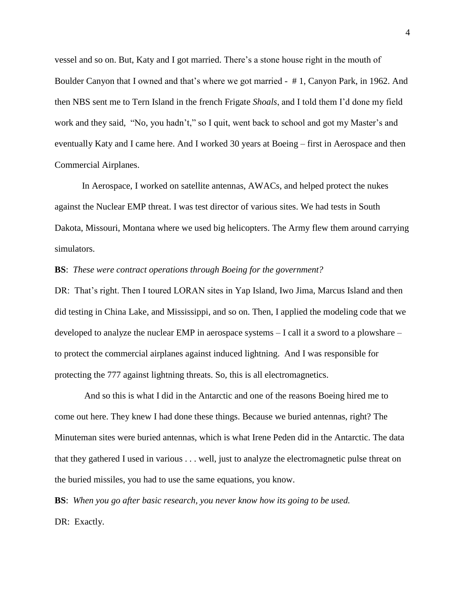vessel and so on. But, Katy and I got married. There"s a stone house right in the mouth of Boulder Canyon that I owned and that's where we got married - #1, Canyon Park, in 1962. And then NBS sent me to Tern Island in the french Frigate *Shoals*, and I told them I"d done my field work and they said, "No, you hadn't," so I quit, went back to school and got my Master's and eventually Katy and I came here. And I worked 30 years at Boeing – first in Aerospace and then Commercial Airplanes.

In Aerospace, I worked on satellite antennas, AWACs, and helped protect the nukes against the Nuclear EMP threat. I was test director of various sites. We had tests in South Dakota, Missouri, Montana where we used big helicopters. The Army flew them around carrying simulators.

# **BS**: *These were contract operations through Boeing for the government?*

DR: That's right. Then I toured LORAN sites in Yap Island, Iwo Jima, Marcus Island and then did testing in China Lake, and Mississippi, and so on. Then, I applied the modeling code that we developed to analyze the nuclear EMP in aerospace systems – I call it a sword to a plowshare – to protect the commercial airplanes against induced lightning. And I was responsible for protecting the 777 against lightning threats. So, this is all electromagnetics.

And so this is what I did in the Antarctic and one of the reasons Boeing hired me to come out here. They knew I had done these things. Because we buried antennas, right? The Minuteman sites were buried antennas, which is what Irene Peden did in the Antarctic. The data that they gathered I used in various . . . well, just to analyze the electromagnetic pulse threat on the buried missiles, you had to use the same equations, you know.

**BS**: *When you go after basic research, you never know how its going to be used.* DR: Exactly.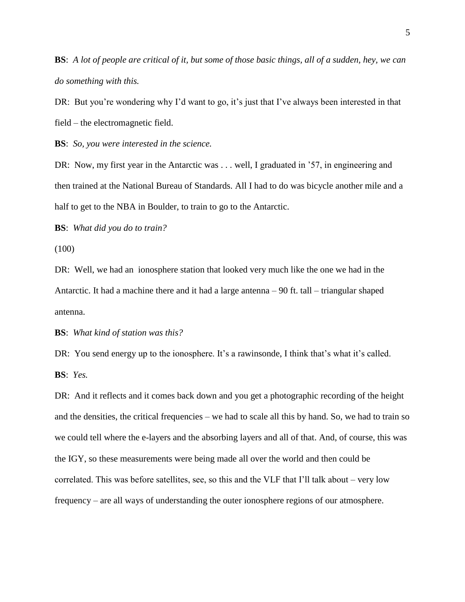**BS**: *A lot of people are critical of it, but some of those basic things, all of a sudden, hey, we can do something with this.*

DR: But you're wondering why I'd want to go, it's just that I've always been interested in that field – the electromagnetic field.

**BS**: *So, you were interested in the science.*

DR: Now, my first year in the Antarctic was . . . well, I graduated in '57, in engineering and then trained at the National Bureau of Standards. All I had to do was bicycle another mile and a half to get to the NBA in Boulder, to train to go to the Antarctic.

**BS**: *What did you do to train?*

(100)

DR: Well, we had an ionosphere station that looked very much like the one we had in the Antarctic. It had a machine there and it had a large antenna – 90 ft. tall – triangular shaped antenna.

**BS**: *What kind of station was this?*

DR: You send energy up to the ionosphere. It's a rawinsonde, I think that's what it's called. **BS**: *Yes.*

DR: And it reflects and it comes back down and you get a photographic recording of the height and the densities, the critical frequencies – we had to scale all this by hand. So, we had to train so we could tell where the e-layers and the absorbing layers and all of that. And, of course, this was the IGY, so these measurements were being made all over the world and then could be correlated. This was before satellites, see, so this and the VLF that I"ll talk about – very low frequency – are all ways of understanding the outer ionosphere regions of our atmosphere.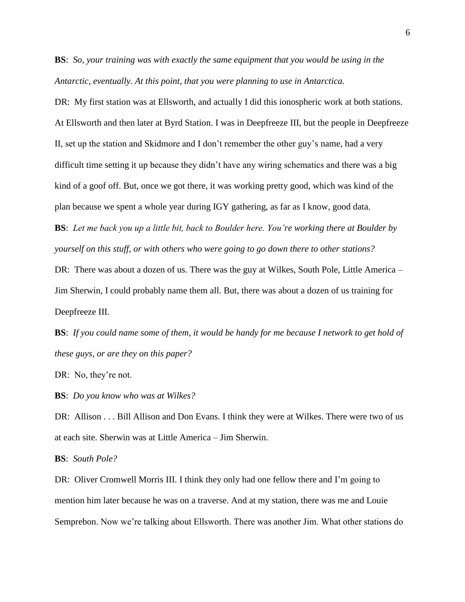**BS**: *So, your training was with exactly the same equipment that you would be using in the Antarctic, eventually. At this point, that you were planning to use in Antarctica.*

DR: My first station was at Ellsworth, and actually I did this ionospheric work at both stations. At Ellsworth and then later at Byrd Station. I was in Deepfreeze III, but the people in Deepfreeze II, set up the station and Skidmore and I don"t remember the other guy"s name, had a very difficult time setting it up because they didn"t have any wiring schematics and there was a big kind of a goof off. But, once we got there, it was working pretty good, which was kind of the plan because we spent a whole year during IGY gathering, as far as I know, good data. **BS**: *Let me back you up a little bit, back to Boulder here. You're working there at Boulder by yourself on this stuff, or with others who were going to go down there to other stations?*

DR: There was about a dozen of us. There was the guy at Wilkes, South Pole, Little America – Jim Sherwin, I could probably name them all. But, there was about a dozen of us training for Deepfreeze III.

**BS**: *If you could name some of them, it would be handy for me because I network to get hold of these guys, or are they on this paper?*

DR: No, they're not.

**BS**: *Do you know who was at Wilkes?*

DR: Allison . . . Bill Allison and Don Evans. I think they were at Wilkes. There were two of us at each site. Sherwin was at Little America – Jim Sherwin.

**BS**: *South Pole?*

DR: Oliver Cromwell Morris III. I think they only had one fellow there and I'm going to mention him later because he was on a traverse. And at my station, there was me and Louie Semprebon. Now we"re talking about Ellsworth. There was another Jim. What other stations do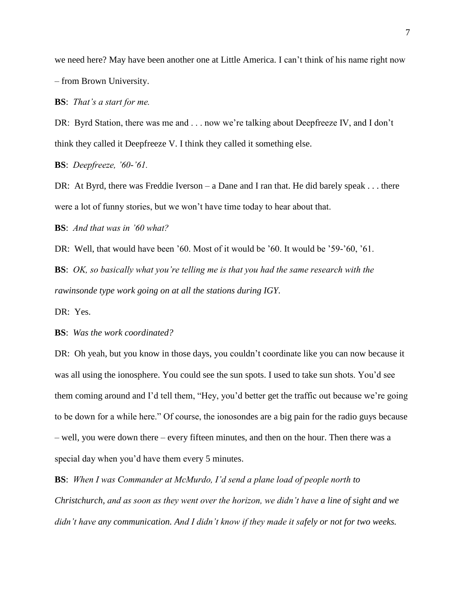we need here? May have been another one at Little America. I can"t think of his name right now – from Brown University.

**BS**: *That's a start for me.* 

DR: Byrd Station, there was me and . . . now we're talking about Deepfreeze IV, and I don't think they called it Deepfreeze V. I think they called it something else.

**BS**: *Deepfreeze, '60-'61.* 

DR: At Byrd, there was Freddie Iverson – a Dane and I ran that. He did barely speak . . . there were a lot of funny stories, but we won"t have time today to hear about that.

**BS**: *And that was in '60 what?*

DR: Well, that would have been '60. Most of it would be '60. It would be '59-'60, '61. **BS**: *OK, so basically what you're telling me is that you had the same research with the rawinsonde type work going on at all the stations during IGY.*

DR: Yes.

**BS**: *Was the work coordinated?*

DR: Oh yeah, but you know in those days, you couldn't coordinate like you can now because it was all using the ionosphere. You could see the sun spots. I used to take sun shots. You"d see them coming around and I"d tell them, "Hey, you"d better get the traffic out because we"re going to be down for a while here." Of course, the ionosondes are a big pain for the radio guys because – well, you were down there – every fifteen minutes, and then on the hour. Then there was a special day when you'd have them every 5 minutes.

**BS**: *When I was Commander at McMurdo, I'd send a plane load of people north to Christchurch, and as soon as they went over the horizon, we didn't have a line of sight and we didn't have any communication. And I didn't know if they made it safely or not for two weeks.*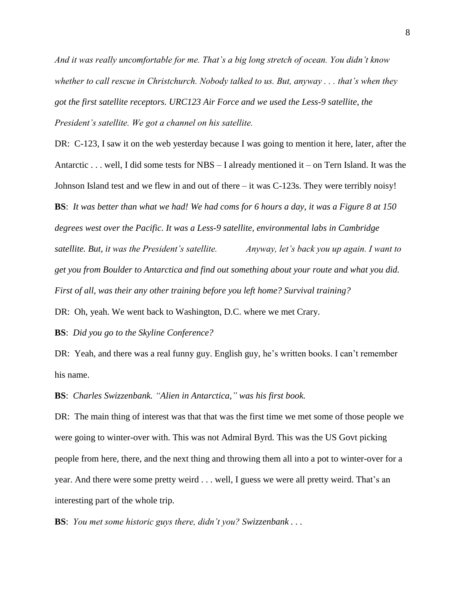*And it was really uncomfortable for me. That's a big long stretch of ocean. You didn't know whether to call rescue in Christchurch. Nobody talked to us. But, anyway . . . that's when they got the first satellite receptors. URC123 Air Force and we used the Less-9 satellite, the President's satellite. We got a channel on his satellite.*

DR: C-123, I saw it on the web yesterday because I was going to mention it here, later, after the Antarctic . . . well, I did some tests for NBS – I already mentioned it – on Tern Island. It was the Johnson Island test and we flew in and out of there – it was C-123s. They were terribly noisy! **BS**: *It was better than what we had! We had coms for 6 hours a day, it was a Figure 8 at 150 degrees west over the Pacific. It was a Less-9 satellite, environmental labs in Cambridge satellite. But, it was the President's satellite. Anyway, let's back you up again. I want to get you from Boulder to Antarctica and find out something about your route and what you did.* 

*First of all, was their any other training before you left home? Survival training?*

DR: Oh, yeah. We went back to Washington, D.C. where we met Crary.

**BS**: *Did you go to the Skyline Conference?*

DR: Yeah, and there was a real funny guy. English guy, he's written books. I can't remember his name.

**BS**: *Charles Swizzenbank. "Alien in Antarctica," was his first book.*

DR: The main thing of interest was that that was the first time we met some of those people we were going to winter-over with. This was not Admiral Byrd. This was the US Govt picking people from here, there, and the next thing and throwing them all into a pot to winter-over for a year. And there were some pretty weird . . . well, I guess we were all pretty weird. That's an interesting part of the whole trip.

**BS**: *You met some historic guys there, didn't you? Swizzenbank . . .*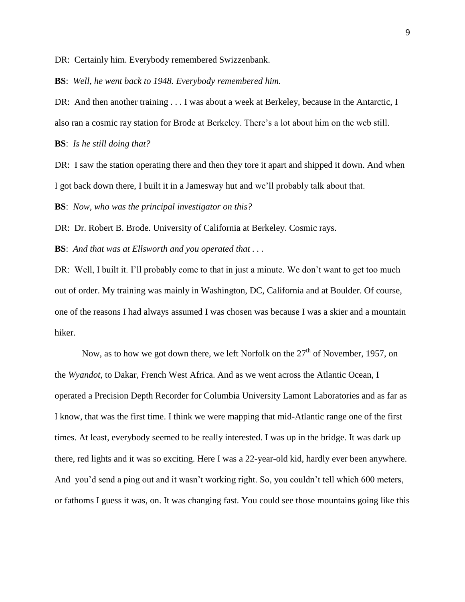DR: Certainly him. Everybody remembered Swizzenbank.

**BS**: *Well, he went back to 1948. Everybody remembered him.* 

DR: And then another training . . . I was about a week at Berkeley, because in the Antarctic, I

also ran a cosmic ray station for Brode at Berkeley. There"s a lot about him on the web still.

**BS**: *Is he still doing that?*

DR: I saw the station operating there and then they tore it apart and shipped it down. And when I got back down there, I built it in a Jamesway hut and we"ll probably talk about that.

**BS**: *Now, who was the principal investigator on this?*

DR: Dr. Robert B. Brode. University of California at Berkeley. Cosmic rays.

**BS**: *And that was at Ellsworth and you operated that . . .*

DR: Well, I built it. I'll probably come to that in just a minute. We don't want to get too much out of order. My training was mainly in Washington, DC, California and at Boulder. Of course, one of the reasons I had always assumed I was chosen was because I was a skier and a mountain hiker.

Now, as to how we got down there, we left Norfolk on the  $27<sup>th</sup>$  of November, 1957, on the *Wyandot*, to Dakar, French West Africa. And as we went across the Atlantic Ocean, I operated a Precision Depth Recorder for Columbia University Lamont Laboratories and as far as I know, that was the first time. I think we were mapping that mid-Atlantic range one of the first times. At least, everybody seemed to be really interested. I was up in the bridge. It was dark up there, red lights and it was so exciting. Here I was a 22-year-old kid, hardly ever been anywhere. And you'd send a ping out and it wasn't working right. So, you couldn't tell which 600 meters, or fathoms I guess it was, on. It was changing fast. You could see those mountains going like this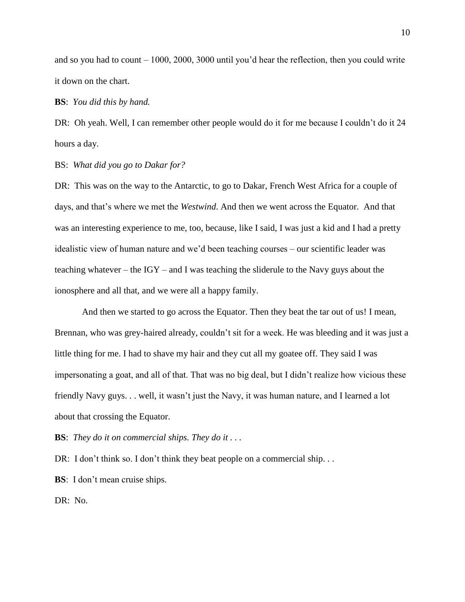and so you had to count – 1000, 2000, 3000 until you"d hear the reflection, then you could write it down on the chart.

**BS**: *You did this by hand.*

DR: Oh yeah. Well, I can remember other people would do it for me because I couldn't do it 24 hours a day.

BS: *What did you go to Dakar for?*

DR: This was on the way to the Antarctic, to go to Dakar, French West Africa for a couple of days, and that"s where we met the *Westwind*. And then we went across the Equator. And that was an interesting experience to me, too, because, like I said, I was just a kid and I had a pretty idealistic view of human nature and we"d been teaching courses – our scientific leader was teaching whatever – the IGY – and I was teaching the sliderule to the Navy guys about the ionosphere and all that, and we were all a happy family.

And then we started to go across the Equator. Then they beat the tar out of us! I mean, Brennan, who was grey-haired already, couldn"t sit for a week. He was bleeding and it was just a little thing for me. I had to shave my hair and they cut all my goatee off. They said I was impersonating a goat, and all of that. That was no big deal, but I didn"t realize how vicious these friendly Navy guys. . . well, it wasn't just the Navy, it was human nature, and I learned a lot about that crossing the Equator.

**BS**: *They do it on commercial ships. They do it . . .*

DR: I don't think so. I don't think they beat people on a commercial ship...

**BS**: I don't mean cruise ships.

DR: No.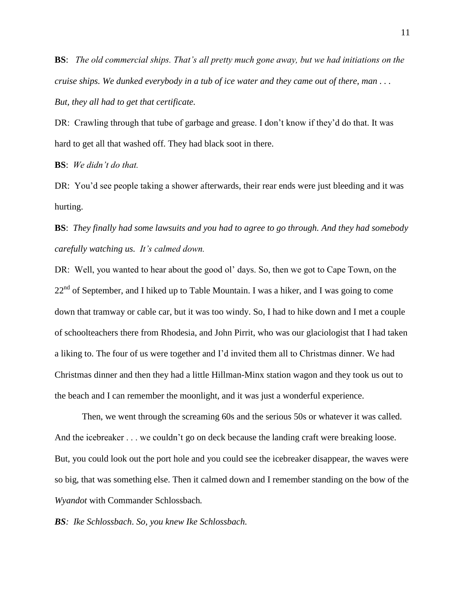**BS**: *The old commercial ships. That's all pretty much gone away, but we had initiations on the cruise ships. We dunked everybody in a tub of ice water and they came out of there, man . . . But, they all had to get that certificate.*

DR: Crawling through that tube of garbage and grease. I don't know if they'd do that. It was hard to get all that washed off. They had black soot in there.

**BS**: *We didn't do that.*

DR: You"d see people taking a shower afterwards, their rear ends were just bleeding and it was hurting.

# **BS**: *They finally had some lawsuits and you had to agree to go through. And they had somebody carefully watching us. It's calmed down.*

DR: Well, you wanted to hear about the good ol' days. So, then we got to Cape Town, on the  $22<sup>nd</sup>$  of September, and I hiked up to Table Mountain. I was a hiker, and I was going to come down that tramway or cable car, but it was too windy. So, I had to hike down and I met a couple of schoolteachers there from Rhodesia, and John Pirrit, who was our glaciologist that I had taken a liking to. The four of us were together and I"d invited them all to Christmas dinner. We had Christmas dinner and then they had a little Hillman-Minx station wagon and they took us out to the beach and I can remember the moonlight, and it was just a wonderful experience.

Then, we went through the screaming 60s and the serious 50s or whatever it was called. And the icebreaker . . . we couldn't go on deck because the landing craft were breaking loose. But, you could look out the port hole and you could see the icebreaker disappear, the waves were so big, that was something else. Then it calmed down and I remember standing on the bow of the *Wyandot* with Commander Schlossbach*.*

*BS: Ike Schlossbach*. *So, you knew Ike Schlossbach.*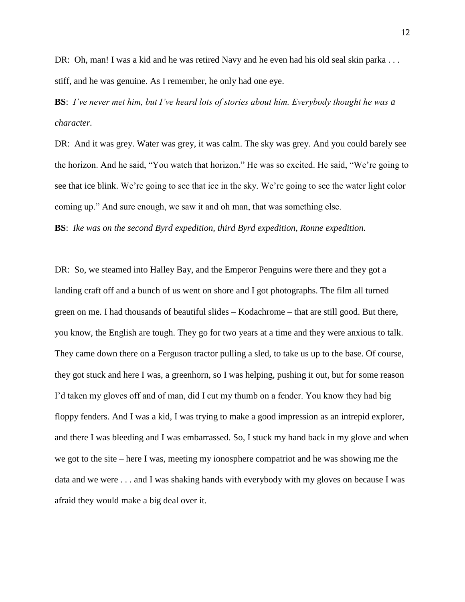DR: Oh, man! I was a kid and he was retired Navy and he even had his old seal skin parka . . . stiff, and he was genuine. As I remember, he only had one eye.

**BS**: *I've never met him, but I've heard lots of stories about him. Everybody thought he was a character.* 

DR: And it was grey. Water was grey, it was calm. The sky was grey. And you could barely see the horizon. And he said, "You watch that horizon." He was so excited. He said, "We"re going to see that ice blink. We're going to see that ice in the sky. We're going to see the water light color coming up." And sure enough, we saw it and oh man, that was something else.

**BS**: *Ike was on the second Byrd expedition, third Byrd expedition, Ronne expedition.*

DR: So, we steamed into Halley Bay, and the Emperor Penguins were there and they got a landing craft off and a bunch of us went on shore and I got photographs. The film all turned green on me. I had thousands of beautiful slides – Kodachrome – that are still good. But there, you know, the English are tough. They go for two years at a time and they were anxious to talk. They came down there on a Ferguson tractor pulling a sled, to take us up to the base. Of course, they got stuck and here I was, a greenhorn, so I was helping, pushing it out, but for some reason I"d taken my gloves off and of man, did I cut my thumb on a fender. You know they had big floppy fenders. And I was a kid, I was trying to make a good impression as an intrepid explorer, and there I was bleeding and I was embarrassed. So, I stuck my hand back in my glove and when we got to the site – here I was, meeting my ionosphere compatriot and he was showing me the data and we were . . . and I was shaking hands with everybody with my gloves on because I was afraid they would make a big deal over it.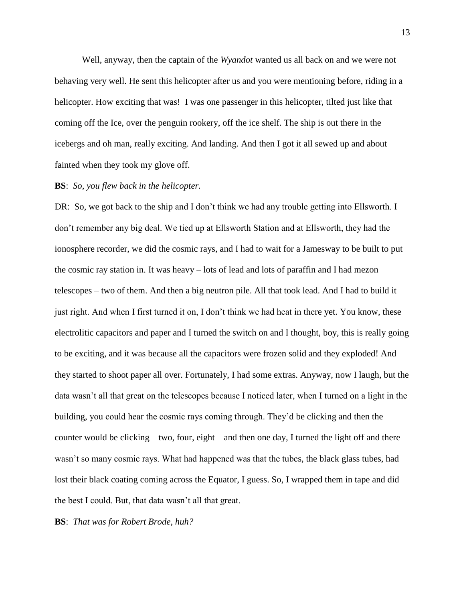Well, anyway, then the captain of the *Wyandot* wanted us all back on and we were not behaving very well. He sent this helicopter after us and you were mentioning before, riding in a helicopter. How exciting that was! I was one passenger in this helicopter, tilted just like that coming off the Ice, over the penguin rookery, off the ice shelf. The ship is out there in the icebergs and oh man, really exciting. And landing. And then I got it all sewed up and about fainted when they took my glove off.

# **BS**: *So, you flew back in the helicopter.*

DR: So, we got back to the ship and I don't think we had any trouble getting into Ellsworth. I don"t remember any big deal. We tied up at Ellsworth Station and at Ellsworth, they had the ionosphere recorder, we did the cosmic rays, and I had to wait for a Jamesway to be built to put the cosmic ray station in. It was heavy – lots of lead and lots of paraffin and I had mezon telescopes – two of them. And then a big neutron pile. All that took lead. And I had to build it just right. And when I first turned it on, I don"t think we had heat in there yet. You know, these electrolitic capacitors and paper and I turned the switch on and I thought, boy, this is really going to be exciting, and it was because all the capacitors were frozen solid and they exploded! And they started to shoot paper all over. Fortunately, I had some extras. Anyway, now I laugh, but the data wasn"t all that great on the telescopes because I noticed later, when I turned on a light in the building, you could hear the cosmic rays coming through. They"d be clicking and then the counter would be clicking – two, four, eight – and then one day, I turned the light off and there wasn"t so many cosmic rays. What had happened was that the tubes, the black glass tubes, had lost their black coating coming across the Equator, I guess. So, I wrapped them in tape and did the best I could. But, that data wasn"t all that great.

**BS**: *That was for Robert Brode, huh?*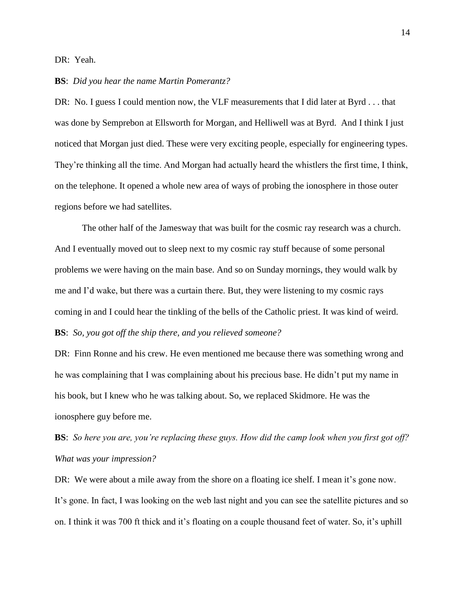DR: Yeah.

# **BS**: *Did you hear the name Martin Pomerantz?*

DR: No. I guess I could mention now, the VLF measurements that I did later at Byrd . . . that was done by Semprebon at Ellsworth for Morgan, and Helliwell was at Byrd. And I think I just noticed that Morgan just died. These were very exciting people, especially for engineering types. They"re thinking all the time. And Morgan had actually heard the whistlers the first time, I think, on the telephone. It opened a whole new area of ways of probing the ionosphere in those outer regions before we had satellites.

The other half of the Jamesway that was built for the cosmic ray research was a church. And I eventually moved out to sleep next to my cosmic ray stuff because of some personal problems we were having on the main base. And so on Sunday mornings, they would walk by me and I"d wake, but there was a curtain there. But, they were listening to my cosmic rays coming in and I could hear the tinkling of the bells of the Catholic priest. It was kind of weird. **BS**: *So, you got off the ship there, and you relieved someone?*

DR: Finn Ronne and his crew. He even mentioned me because there was something wrong and he was complaining that I was complaining about his precious base. He didn"t put my name in his book, but I knew who he was talking about. So, we replaced Skidmore. He was the ionosphere guy before me.

**BS**: *So here you are, you're replacing these guys. How did the camp look when you first got off? What was your impression?*

DR: We were about a mile away from the shore on a floating ice shelf. I mean it's gone now. It's gone. In fact, I was looking on the web last night and you can see the satellite pictures and so on. I think it was 700 ft thick and it's floating on a couple thousand feet of water. So, it's uphill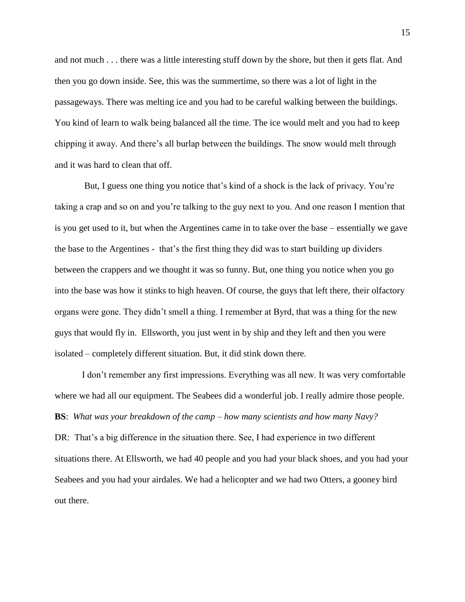and not much . . . there was a little interesting stuff down by the shore, but then it gets flat. And then you go down inside. See, this was the summertime, so there was a lot of light in the passageways. There was melting ice and you had to be careful walking between the buildings. You kind of learn to walk being balanced all the time. The ice would melt and you had to keep chipping it away. And there"s all burlap between the buildings. The snow would melt through and it was hard to clean that off.

But, I guess one thing you notice that's kind of a shock is the lack of privacy. You're taking a crap and so on and you"re talking to the guy next to you. And one reason I mention that is you get used to it, but when the Argentines came in to take over the base – essentially we gave the base to the Argentines - that"s the first thing they did was to start building up dividers between the crappers and we thought it was so funny. But, one thing you notice when you go into the base was how it stinks to high heaven. Of course, the guys that left there, their olfactory organs were gone. They didn"t smell a thing. I remember at Byrd, that was a thing for the new guys that would fly in. Ellsworth, you just went in by ship and they left and then you were isolated – completely different situation. But, it did stink down there.

I don"t remember any first impressions. Everything was all new. It was very comfortable where we had all our equipment. The Seabees did a wonderful job. I really admire those people. **BS**: *What was your breakdown of the camp – how many scientists and how many Navy?* DR: That's a big difference in the situation there. See, I had experience in two different situations there. At Ellsworth, we had 40 people and you had your black shoes, and you had your Seabees and you had your airdales. We had a helicopter and we had two Otters, a gooney bird out there.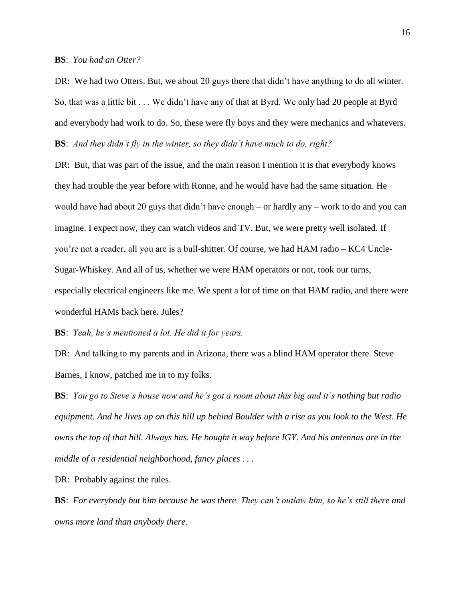## **BS**: *You had an Otter?*

DR: We had two Otters. But, we about 20 guys there that didn't have anything to do all winter. So, that was a little bit . . . We didn"t have any of that at Byrd. We only had 20 people at Byrd and everybody had work to do. So, these were fly boys and they were mechanics and whatevers. **BS**: *And they didn't fly in the winter, so they didn't have much to do, right?*

DR: But, that was part of the issue, and the main reason I mention it is that everybody knows they had trouble the year before with Ronne, and he would have had the same situation. He would have had about 20 guys that didn"t have enough – or hardly any – work to do and you can imagine. I expect now, they can watch videos and TV. But, we were pretty well isolated. If you"re not a reader, all you are is a bull-shitter. Of course, we had HAM radio – KC4 Uncle-Sugar-Whiskey. And all of us, whether we were HAM operators or not, took our turns, especially electrical engineers like me. We spent a lot of time on that HAM radio, and there were wonderful HAMs back here. Jules?

**BS**: *Yeah, he's mentioned a lot. He did it for years.*

DR: And talking to my parents and in Arizona, there was a blind HAM operator there. Steve Barnes, I know, patched me in to my folks.

**BS**: *You go to Steve's house now and he's got a room about this big and it's nothing but radio equipment. And he lives up on this hill up behind Boulder with a rise as you look to the West. He owns the top of that hill. Always has. He bought it way before IGY. And his antennas are in the middle of a residential neighborhood, fancy places . . .*

DR: Probably against the rules.

**BS**: *For everybody but him because he was there. They can't outlaw him, so he's still there and owns more land than anybody there.*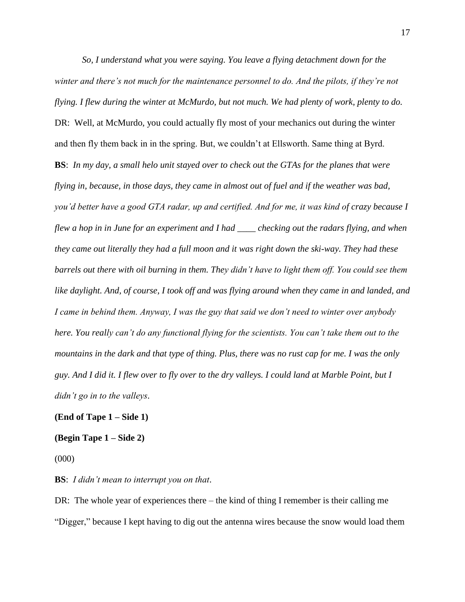*So, I understand what you were saying. You leave a flying detachment down for the winter and there's not much for the maintenance personnel to do. And the pilots, if they're not flying. I flew during the winter at McMurdo, but not much. We had plenty of work, plenty to do.* DR: Well, at McMurdo, you could actually fly most of your mechanics out during the winter and then fly them back in in the spring. But, we couldn"t at Ellsworth. Same thing at Byrd. **BS**: *In my day, a small helo unit stayed over to check out the GTAs for the planes that were flying in, because, in those days, they came in almost out of fuel and if the weather was bad, you'd better have a good GTA radar, up and certified. And for me, it was kind of crazy because I flew a hop in in June for an experiment and I had \_\_\_\_ checking out the radars flying, and when they came out literally they had a full moon and it was right down the ski-way. They had these barrels out there with oil burning in them. They didn't have to light them off. You could see them like daylight. And, of course, I took off and was flying around when they came in and landed, and I came in behind them. Anyway, I was the guy that said we don't need to winter over anybody here. You really can't do any functional flying for the scientists. You can't take them out to the mountains in the dark and that type of thing. Plus, there was no rust cap for me. I was the only guy. And I did it. I flew over to fly over to the dry valleys. I could land at Marble Point, but I didn't go in to the valleys*.

**(End of Tape 1 – Side 1)**

**(Begin Tape 1 – Side 2)**

(000)

**BS**: *I didn't mean to interrupt you on that*.

DR: The whole year of experiences there – the kind of thing I remember is their calling me "Digger," because I kept having to dig out the antenna wires because the snow would load them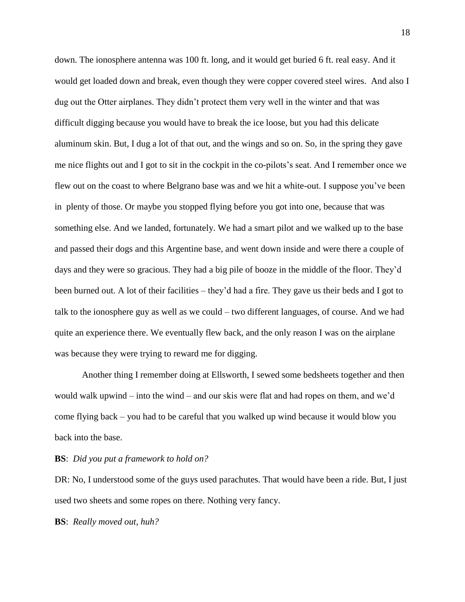down. The ionosphere antenna was 100 ft. long, and it would get buried 6 ft. real easy. And it would get loaded down and break, even though they were copper covered steel wires. And also I dug out the Otter airplanes. They didn"t protect them very well in the winter and that was difficult digging because you would have to break the ice loose, but you had this delicate aluminum skin. But, I dug a lot of that out, and the wings and so on. So, in the spring they gave me nice flights out and I got to sit in the cockpit in the co-pilots's seat. And I remember once we flew out on the coast to where Belgrano base was and we hit a white-out. I suppose you"ve been in plenty of those. Or maybe you stopped flying before you got into one, because that was something else. And we landed, fortunately. We had a smart pilot and we walked up to the base and passed their dogs and this Argentine base, and went down inside and were there a couple of days and they were so gracious. They had a big pile of booze in the middle of the floor. They"d been burned out. A lot of their facilities – they"d had a fire. They gave us their beds and I got to talk to the ionosphere guy as well as we could – two different languages, of course. And we had quite an experience there. We eventually flew back, and the only reason I was on the airplane was because they were trying to reward me for digging.

Another thing I remember doing at Ellsworth, I sewed some bedsheets together and then would walk upwind – into the wind – and our skis were flat and had ropes on them, and we"d come flying back – you had to be careful that you walked up wind because it would blow you back into the base.

### **BS**: *Did you put a framework to hold on?*

DR: No, I understood some of the guys used parachutes. That would have been a ride. But, I just used two sheets and some ropes on there. Nothing very fancy.

**BS**: *Really moved out, huh?*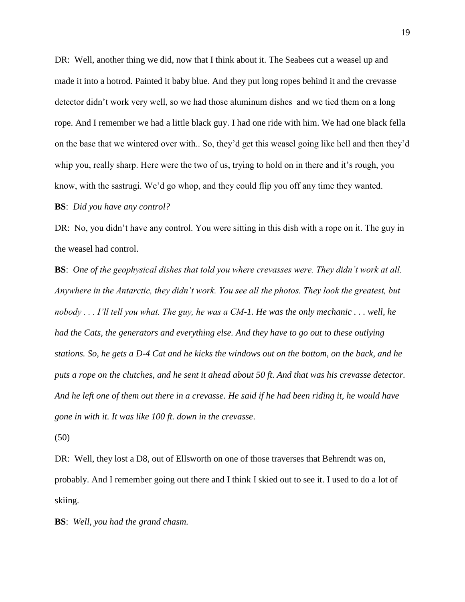DR: Well, another thing we did, now that I think about it. The Seabees cut a weasel up and made it into a hotrod. Painted it baby blue. And they put long ropes behind it and the crevasse detector didn"t work very well, so we had those aluminum dishes and we tied them on a long rope. And I remember we had a little black guy. I had one ride with him. We had one black fella on the base that we wintered over with.. So, they"d get this weasel going like hell and then they"d whip you, really sharp. Here were the two of us, trying to hold on in there and it's rough, you know, with the sastrugi. We"d go whop, and they could flip you off any time they wanted.

**BS**: *Did you have any control?*

DR: No, you didn't have any control. You were sitting in this dish with a rope on it. The guy in the weasel had control.

**BS**: *One of the geophysical dishes that told you where crevasses were. They didn't work at all. Anywhere in the Antarctic, they didn't work. You see all the photos. They look the greatest, but nobody . . . I'll tell you what. The guy, he was a CM-1. He was the only mechanic . . . well, he had the Cats, the generators and everything else. And they have to go out to these outlying stations. So, he gets a D-4 Cat and he kicks the windows out on the bottom, on the back, and he puts a rope on the clutches, and he sent it ahead about 50 ft. And that was his crevasse detector. And he left one of them out there in a crevasse. He said if he had been riding it, he would have gone in with it. It was like 100 ft. down in the crevasse*.

(50)

DR: Well, they lost a D8, out of Ellsworth on one of those traverses that Behrendt was on, probably. And I remember going out there and I think I skied out to see it. I used to do a lot of skiing.

**BS**: *Well, you had the grand chasm.*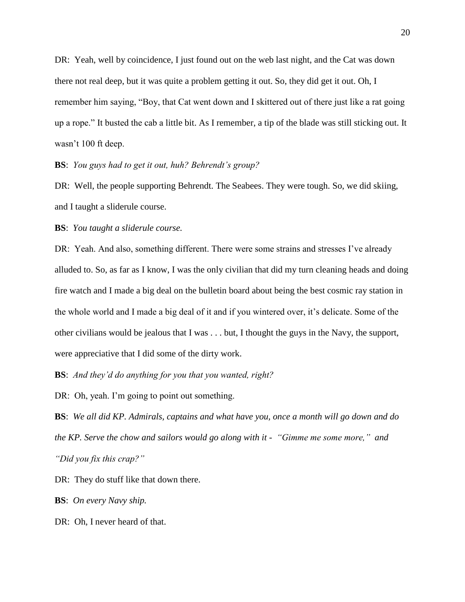DR: Yeah, well by coincidence, I just found out on the web last night, and the Cat was down there not real deep, but it was quite a problem getting it out. So, they did get it out. Oh, I remember him saying, "Boy, that Cat went down and I skittered out of there just like a rat going up a rope." It busted the cab a little bit. As I remember, a tip of the blade was still sticking out. It wasn"t 100 ft deep.

**BS**: *You guys had to get it out, huh? Behrendt's group?*

DR: Well, the people supporting Behrendt. The Seabees. They were tough. So, we did skiing, and I taught a sliderule course.

**BS**: *You taught a sliderule course.*

DR: Yeah. And also, something different. There were some strains and stresses I've already alluded to. So, as far as I know, I was the only civilian that did my turn cleaning heads and doing fire watch and I made a big deal on the bulletin board about being the best cosmic ray station in the whole world and I made a big deal of it and if you wintered over, it"s delicate. Some of the other civilians would be jealous that I was . . . but, I thought the guys in the Navy, the support, were appreciative that I did some of the dirty work.

**BS**: *And they'd do anything for you that you wanted, right?*

DR: Oh, yeah. I'm going to point out something.

**BS**: *We all did KP. Admirals, captains and what have you, once a month will go down and do the KP. Serve the chow and sailors would go along with it - "Gimme me some more," and "Did you fix this crap?"*

DR: They do stuff like that down there.

**BS**: *On every Navy ship.*

DR: Oh, I never heard of that.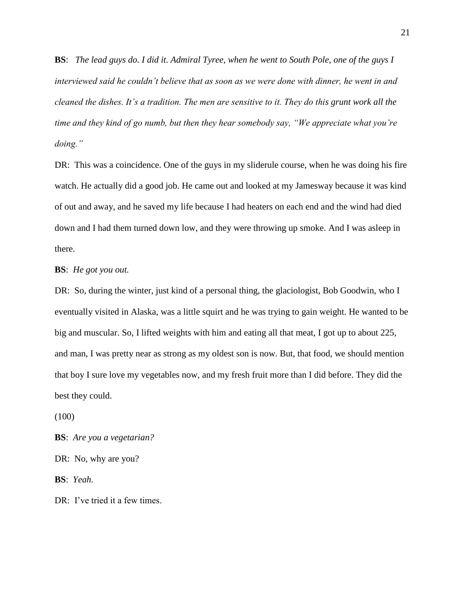**BS**: *The lead guys do. I did it. Admiral Tyree, when he went to South Pole, one of the guys I interviewed said he couldn't believe that as soon as we were done with dinner, he went in and cleaned the dishes. It's a tradition. The men are sensitive to it. They do this grunt work all the time and they kind of go numb, but then they hear somebody say, "We appreciate what you're doing."*

DR: This was a coincidence. One of the guys in my sliderule course, when he was doing his fire watch. He actually did a good job. He came out and looked at my Jamesway because it was kind of out and away, and he saved my life because I had heaters on each end and the wind had died down and I had them turned down low, and they were throwing up smoke. And I was asleep in there.

#### **BS**: *He got you out.*

DR: So, during the winter, just kind of a personal thing, the glaciologist, Bob Goodwin, who I eventually visited in Alaska, was a little squirt and he was trying to gain weight. He wanted to be big and muscular. So, I lifted weights with him and eating all that meat, I got up to about 225, and man, I was pretty near as strong as my oldest son is now. But, that food, we should mention that boy I sure love my vegetables now, and my fresh fruit more than I did before. They did the best they could.

(100)

**BS**: *Are you a vegetarian?*

DR: No, why are you?

**BS**: *Yeah.*

DR: I've tried it a few times.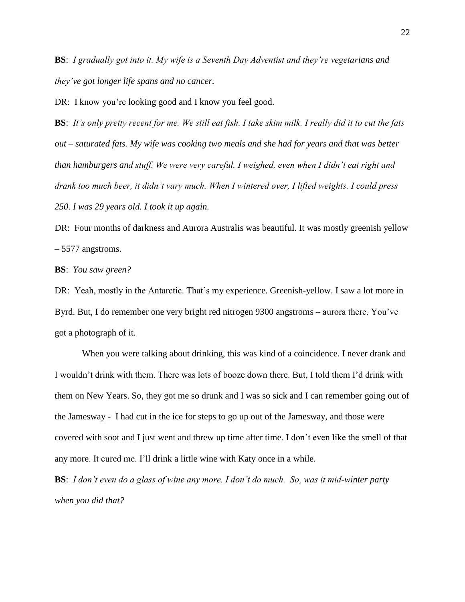**BS**: *I gradually got into it. My wife is a Seventh Day Adventist and they're vegetarians and they've got longer life spans and no cancer.*

DR: I know you're looking good and I know you feel good.

**BS**: *It's only pretty recent for me. We still eat fish. I take skim milk. I really did it to cut the fats out – saturated fats. My wife was cooking two meals and she had for years and that was better than hamburgers and stuff. We were very careful. I weighed, even when I didn't eat right and drank too much beer, it didn't vary much. When I wintered over, I lifted weights. I could press 250. I was 29 years old. I took it up again.*

DR: Four months of darkness and Aurora Australis was beautiful. It was mostly greenish yellow – 5577 angstroms.

**BS**: *You saw green?*

DR: Yeah, mostly in the Antarctic. That's my experience. Greenish-yellow. I saw a lot more in Byrd. But, I do remember one very bright red nitrogen 9300 angstroms – aurora there. You"ve got a photograph of it.

When you were talking about drinking, this was kind of a coincidence. I never drank and I wouldn"t drink with them. There was lots of booze down there. But, I told them I"d drink with them on New Years. So, they got me so drunk and I was so sick and I can remember going out of the Jamesway - I had cut in the ice for steps to go up out of the Jamesway, and those were covered with soot and I just went and threw up time after time. I don"t even like the smell of that any more. It cured me. I"ll drink a little wine with Katy once in a while.

**BS**: *I don't even do a glass of wine any more. I don't do much. So, was it mid-winter party when you did that?*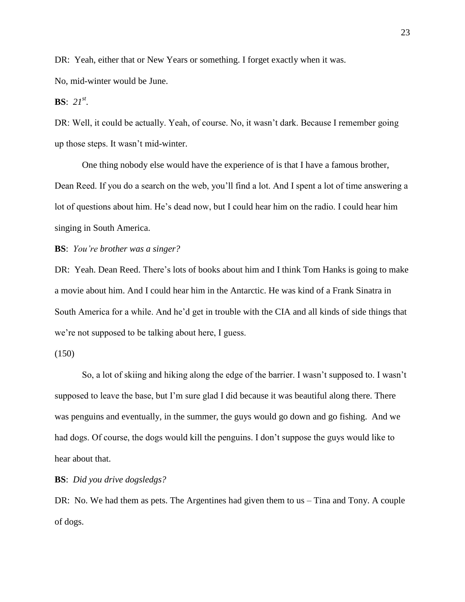DR: Yeah, either that or New Years or something. I forget exactly when it was.

No, mid-winter would be June.

**BS**:  $21^{st}$ .

DR: Well, it could be actually. Yeah, of course. No, it wasn't dark. Because I remember going up those steps. It wasn"t mid-winter.

One thing nobody else would have the experience of is that I have a famous brother, Dean Reed. If you do a search on the web, you"ll find a lot. And I spent a lot of time answering a lot of questions about him. He's dead now, but I could hear him on the radio. I could hear him singing in South America.

**BS**: *You're brother was a singer?*

DR: Yeah. Dean Reed. There's lots of books about him and I think Tom Hanks is going to make a movie about him. And I could hear him in the Antarctic. He was kind of a Frank Sinatra in South America for a while. And he"d get in trouble with the CIA and all kinds of side things that we're not supposed to be talking about here, I guess.

(150)

So, a lot of skiing and hiking along the edge of the barrier. I wasn't supposed to. I wasn't supposed to leave the base, but I"m sure glad I did because it was beautiful along there. There was penguins and eventually, in the summer, the guys would go down and go fishing. And we had dogs. Of course, the dogs would kill the penguins. I don't suppose the guys would like to hear about that.

**BS**: *Did you drive dogsledgs?*

DR: No. We had them as pets. The Argentines had given them to us – Tina and Tony. A couple of dogs.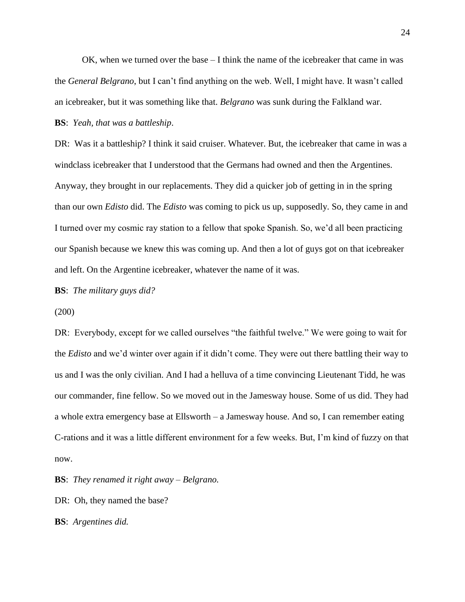OK, when we turned over the base – I think the name of the icebreaker that came in was the *General Belgrano*, but I can"t find anything on the web. Well, I might have. It wasn"t called an icebreaker, but it was something like that. *Belgrano* was sunk during the Falkland war.

# **BS**: *Yeah, that was a battleship*.

DR: Was it a battleship? I think it said cruiser. Whatever. But, the icebreaker that came in was a windclass icebreaker that I understood that the Germans had owned and then the Argentines. Anyway, they brought in our replacements. They did a quicker job of getting in in the spring than our own *Edisto* did. The *Edisto* was coming to pick us up, supposedly. So, they came in and I turned over my cosmic ray station to a fellow that spoke Spanish. So, we"d all been practicing our Spanish because we knew this was coming up. And then a lot of guys got on that icebreaker and left. On the Argentine icebreaker, whatever the name of it was.

## **BS**: *The military guys did?*

(200)

DR: Everybody, except for we called ourselves "the faithful twelve." We were going to wait for the *Edisto* and we"d winter over again if it didn"t come. They were out there battling their way to us and I was the only civilian. And I had a helluva of a time convincing Lieutenant Tidd, he was our commander, fine fellow. So we moved out in the Jamesway house. Some of us did. They had a whole extra emergency base at Ellsworth – a Jamesway house. And so, I can remember eating C-rations and it was a little different environment for a few weeks. But, I"m kind of fuzzy on that now.

**BS**: *They renamed it right away – Belgrano.*

DR: Oh, they named the base?

**BS**: *Argentines did.*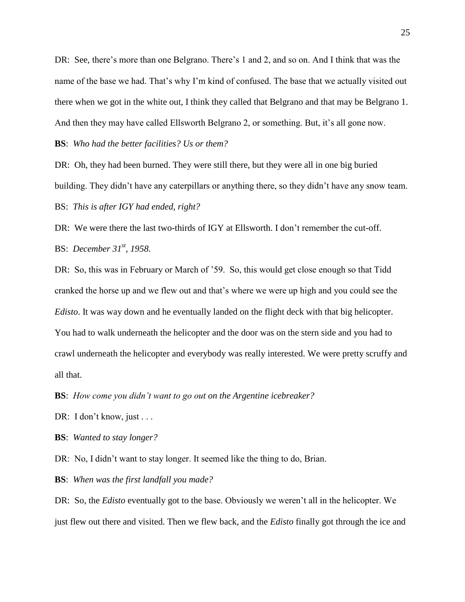DR: See, there"s more than one Belgrano. There"s 1 and 2, and so on. And I think that was the name of the base we had. That's why I'm kind of confused. The base that we actually visited out there when we got in the white out, I think they called that Belgrano and that may be Belgrano 1. And then they may have called Ellsworth Belgrano 2, or something. But, it's all gone now.

**BS**: *Who had the better facilities? Us or them?*

DR: Oh, they had been burned. They were still there, but they were all in one big buried building. They didn"t have any caterpillars or anything there, so they didn"t have any snow team. BS: *This is after IGY had ended, right?*

DR: We were there the last two-thirds of IGY at Ellsworth. I don't remember the cut-off. BS: *December 31st, 1958.*

DR: So, this was in February or March of "59. So, this would get close enough so that Tidd cranked the horse up and we flew out and that"s where we were up high and you could see the *Edisto*. It was way down and he eventually landed on the flight deck with that big helicopter. You had to walk underneath the helicopter and the door was on the stern side and you had to crawl underneath the helicopter and everybody was really interested. We were pretty scruffy and all that.

**BS**: *How come you didn't want to go out on the Argentine icebreaker?*

DR: I don't know, just . . .

**BS**: *Wanted to stay longer?*

DR: No, I didn't want to stay longer. It seemed like the thing to do, Brian.

**BS**: *When was the first landfall you made?*

DR: So, the *Edisto* eventually got to the base. Obviously we weren't all in the helicopter. We just flew out there and visited. Then we flew back, and the *Edisto* finally got through the ice and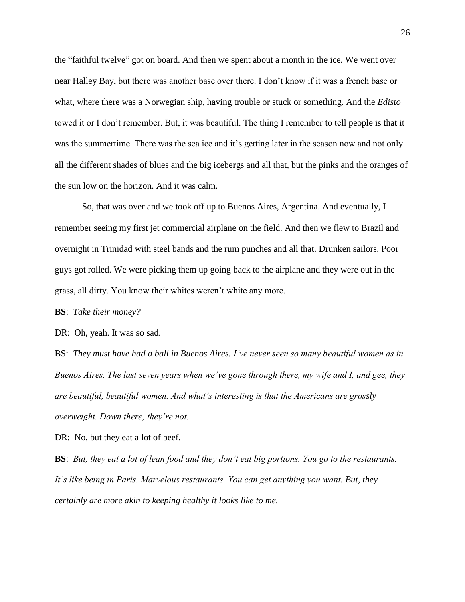the "faithful twelve" got on board. And then we spent about a month in the ice. We went over near Halley Bay, but there was another base over there. I don"t know if it was a french base or what, where there was a Norwegian ship, having trouble or stuck or something. And the *Edisto* towed it or I don"t remember. But, it was beautiful. The thing I remember to tell people is that it was the summertime. There was the sea ice and it's getting later in the season now and not only all the different shades of blues and the big icebergs and all that, but the pinks and the oranges of the sun low on the horizon. And it was calm.

So, that was over and we took off up to Buenos Aires, Argentina. And eventually, I remember seeing my first jet commercial airplane on the field. And then we flew to Brazil and overnight in Trinidad with steel bands and the rum punches and all that. Drunken sailors. Poor guys got rolled. We were picking them up going back to the airplane and they were out in the grass, all dirty. You know their whites weren"t white any more.

**BS**: *Take their money?*

DR: Oh, yeah. It was so sad.

BS: *They must have had a ball in Buenos Aires. I've never seen so many beautiful women as in Buenos Aires. The last seven years when we've gone through there, my wife and I, and gee, they are beautiful, beautiful women. And what's interesting is that the Americans are grossly overweight. Down there, they're not.*

DR: No, but they eat a lot of beef.

**BS**: *But, they eat a lot of lean food and they don't eat big portions. You go to the restaurants. It's like being in Paris. Marvelous restaurants. You can get anything you want. But, they certainly are more akin to keeping healthy it looks like to me.*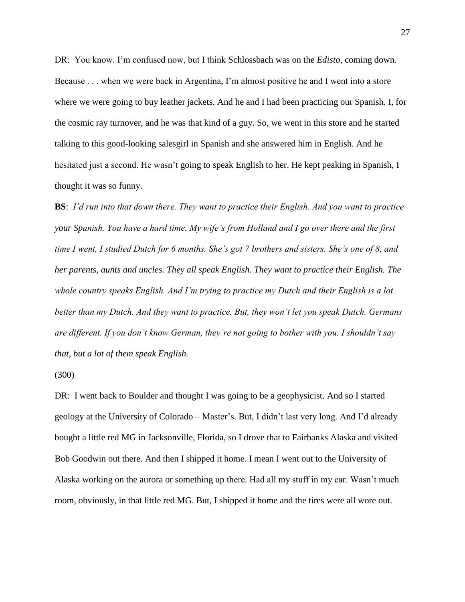DR: You know. I"m confused now, but I think Schlossbach was on the *Edisto*, coming down. Because . . . when we were back in Argentina, I"m almost positive he and I went into a store where we were going to buy leather jackets. And he and I had been practicing our Spanish. I, for the cosmic ray turnover, and he was that kind of a guy. So, we went in this store and he started talking to this good-looking salesgirl in Spanish and she answered him in English. And he hesitated just a second. He wasn"t going to speak English to her. He kept peaking in Spanish, I thought it was so funny.

**BS**: *I'd run into that down there. They want to practice their English. And you want to practice your Spanish. You have a hard time. My wife's from Holland and I go over there and the first time I went, I studied Dutch for 6 months. She's got 7 brothers and sisters. She's one of 8, and her parents, aunts and uncles. They all speak English. They want to practice their English. The whole country speaks English. And I'm trying to practice my Dutch and their English is a lot better than my Dutch. And they want to practice. But, they won't let you speak Dutch. Germans are different. If you don't know German, they're not going to bother with you. I shouldn't say that, but a lot of them speak English.*

(300)

DR: I went back to Boulder and thought I was going to be a geophysicist. And so I started geology at the University of Colorado – Master"s. But, I didn"t last very long. And I"d already bought a little red MG in Jacksonville, Florida, so I drove that to Fairbanks Alaska and visited Bob Goodwin out there. And then I shipped it home. I mean I went out to the University of Alaska working on the aurora or something up there. Had all my stuff in my car. Wasn"t much room, obviously, in that little red MG. But, I shipped it home and the tires were all wore out.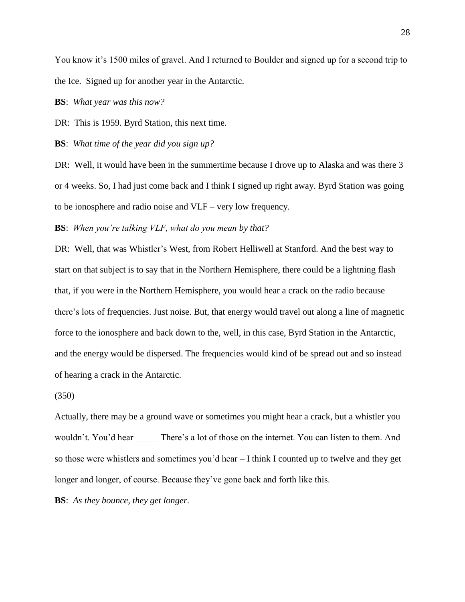You know it"s 1500 miles of gravel. And I returned to Boulder and signed up for a second trip to the Ice. Signed up for another year in the Antarctic.

**BS**: *What year was this now?*

DR: This is 1959. Byrd Station, this next time.

**BS**: *What time of the year did you sign up?*

DR: Well, it would have been in the summertime because I drove up to Alaska and was there 3 or 4 weeks. So, I had just come back and I think I signed up right away. Byrd Station was going to be ionosphere and radio noise and VLF – very low frequency.

**BS**: *When you're talking VLF, what do you mean by that?*

DR: Well, that was Whistler"s West, from Robert Helliwell at Stanford. And the best way to start on that subject is to say that in the Northern Hemisphere, there could be a lightning flash that, if you were in the Northern Hemisphere, you would hear a crack on the radio because there"s lots of frequencies. Just noise. But, that energy would travel out along a line of magnetic force to the ionosphere and back down to the, well, in this case, Byrd Station in the Antarctic, and the energy would be dispersed. The frequencies would kind of be spread out and so instead of hearing a crack in the Antarctic.

### (350)

Actually, there may be a ground wave or sometimes you might hear a crack, but a whistler you wouldn't. You'd hear There's a lot of those on the internet. You can listen to them. And so those were whistlers and sometimes you"d hear – I think I counted up to twelve and they get longer and longer, of course. Because they've gone back and forth like this.

**BS**: *As they bounce, they get longer.*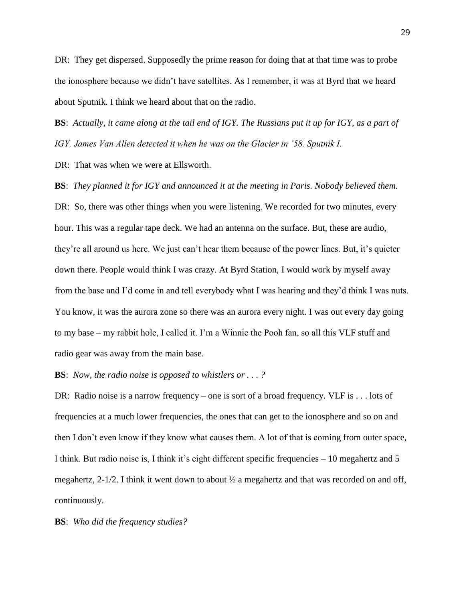DR: They get dispersed. Supposedly the prime reason for doing that at that time was to probe the ionosphere because we didn"t have satellites. As I remember, it was at Byrd that we heard about Sputnik. I think we heard about that on the radio.

**BS**: *Actually, it came along at the tail end of IGY. The Russians put it up for IGY, as a part of IGY. James Van Allen detected it when he was on the Glacier in '58. Sputnik I.*

DR: That was when we were at Ellsworth.

**BS**: *They planned it for IGY and announced it at the meeting in Paris. Nobody believed them.* DR: So, there was other things when you were listening. We recorded for two minutes, every hour. This was a regular tape deck. We had an antenna on the surface. But, these are audio, they're all around us here. We just can't hear them because of the power lines. But, it's quieter down there. People would think I was crazy. At Byrd Station, I would work by myself away from the base and I"d come in and tell everybody what I was hearing and they"d think I was nuts. You know, it was the aurora zone so there was an aurora every night. I was out every day going to my base – my rabbit hole, I called it. I"m a Winnie the Pooh fan, so all this VLF stuff and radio gear was away from the main base.

**BS**: *Now, the radio noise is opposed to whistlers or . . . ?*

DR: Radio noise is a narrow frequency – one is sort of a broad frequency. VLF is . . . lots of frequencies at a much lower frequencies, the ones that can get to the ionosphere and so on and then I don"t even know if they know what causes them. A lot of that is coming from outer space, I think. But radio noise is, I think it's eight different specific frequencies  $-10$  megahertz and 5 megahertz,  $2-1/2$ . I think it went down to about  $\frac{1}{2}$  a megahertz and that was recorded on and off, continuously.

**BS**: *Who did the frequency studies?*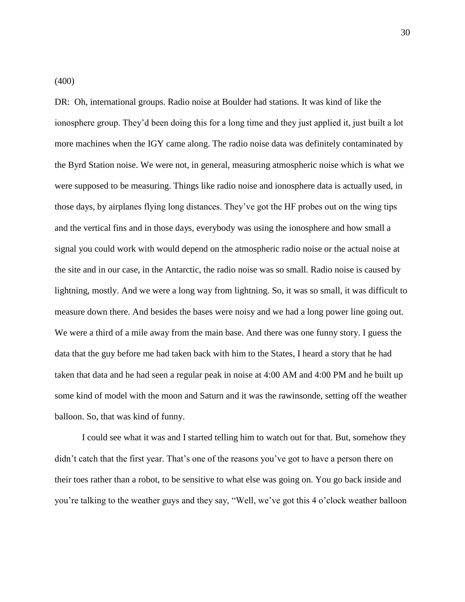DR: Oh, international groups. Radio noise at Boulder had stations. It was kind of like the ionosphere group. They"d been doing this for a long time and they just applied it, just built a lot more machines when the IGY came along. The radio noise data was definitely contaminated by the Byrd Station noise. We were not, in general, measuring atmospheric noise which is what we were supposed to be measuring. Things like radio noise and ionosphere data is actually used, in those days, by airplanes flying long distances. They"ve got the HF probes out on the wing tips and the vertical fins and in those days, everybody was using the ionosphere and how small a signal you could work with would depend on the atmospheric radio noise or the actual noise at the site and in our case, in the Antarctic, the radio noise was so small. Radio noise is caused by lightning, mostly. And we were a long way from lightning. So, it was so small, it was difficult to measure down there. And besides the bases were noisy and we had a long power line going out. We were a third of a mile away from the main base. And there was one funny story. I guess the data that the guy before me had taken back with him to the States, I heard a story that he had taken that data and he had seen a regular peak in noise at 4:00 AM and 4:00 PM and he built up some kind of model with the moon and Saturn and it was the rawinsonde, setting off the weather balloon. So, that was kind of funny.

I could see what it was and I started telling him to watch out for that. But, somehow they didn't catch that the first year. That's one of the reasons you've got to have a person there on their toes rather than a robot, to be sensitive to what else was going on. You go back inside and you"re talking to the weather guys and they say, "Well, we"ve got this 4 o"clock weather balloon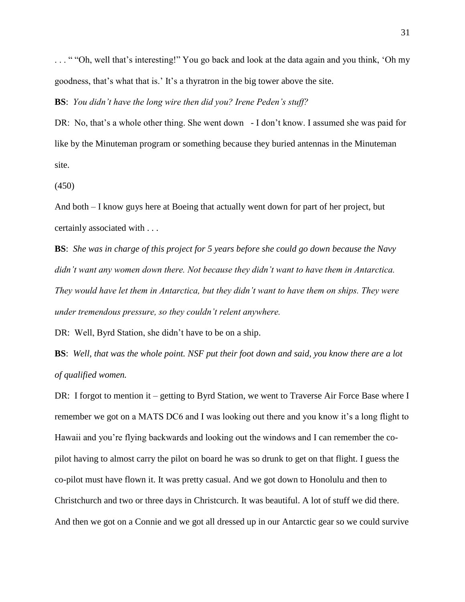. . . " "Oh, well that"s interesting!" You go back and look at the data again and you think, "Oh my goodness, that's what that is.' It's a thyratron in the big tower above the site.

**BS**: *You didn't have the long wire then did you? Irene Peden's stuff?*

DR: No, that's a whole other thing. She went down - I don't know. I assumed she was paid for like by the Minuteman program or something because they buried antennas in the Minuteman site.

(450)

And both – I know guys here at Boeing that actually went down for part of her project, but certainly associated with . . .

**BS**: *She was in charge of this project for 5 years before she could go down because the Navy didn't want any women down there. Not because they didn't want to have them in Antarctica. They would have let them in Antarctica, but they didn't want to have them on ships. They were under tremendous pressure, so they couldn't relent anywhere.*

DR: Well, Byrd Station, she didn"t have to be on a ship.

**BS**: *Well, that was the whole point. NSF put their foot down and said, you know there are a lot of qualified women.*

DR: I forgot to mention it – getting to Byrd Station, we went to Traverse Air Force Base where I remember we got on a MATS DC6 and I was looking out there and you know it's a long flight to Hawaii and you"re flying backwards and looking out the windows and I can remember the copilot having to almost carry the pilot on board he was so drunk to get on that flight. I guess the co-pilot must have flown it. It was pretty casual. And we got down to Honolulu and then to Christchurch and two or three days in Christcurch. It was beautiful. A lot of stuff we did there. And then we got on a Connie and we got all dressed up in our Antarctic gear so we could survive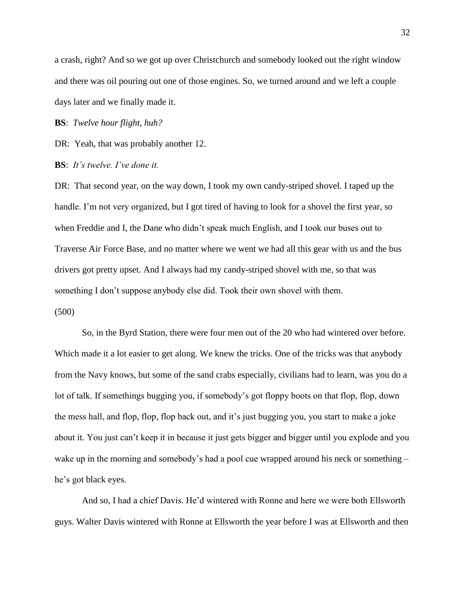a crash, right? And so we got up over Christchurch and somebody looked out the right window and there was oil pouring out one of those engines. So, we turned around and we left a couple days later and we finally made it.

**BS**: *Twelve hour flight, huh?*

DR: Yeah, that was probably another 12.

**BS**: *It's twelve. I've done it.*

DR: That second year, on the way down, I took my own candy-striped shovel. I taped up the handle. I'm not very organized, but I got tired of having to look for a shovel the first year, so when Freddie and I, the Dane who didn"t speak much English, and I took our buses out to Traverse Air Force Base, and no matter where we went we had all this gear with us and the bus drivers got pretty upset. And I always had my candy-striped shovel with me, so that was something I don"t suppose anybody else did. Took their own shovel with them. (500)

So, in the Byrd Station, there were four men out of the 20 who had wintered over before. Which made it a lot easier to get along. We knew the tricks. One of the tricks was that anybody from the Navy knows, but some of the sand crabs especially, civilians had to learn, was you do a lot of talk. If somethings bugging you, if somebody"s got floppy boots on that flop, flop, down the mess hall, and flop, flop, flop back out, and it"s just bugging you, you start to make a joke about it. You just can"t keep it in because it just gets bigger and bigger until you explode and you wake up in the morning and somebody's had a pool cue wrapped around his neck or something – he"s got black eyes.

And so, I had a chief Davis. He"d wintered with Ronne and here we were both Ellsworth guys. Walter Davis wintered with Ronne at Ellsworth the year before I was at Ellsworth and then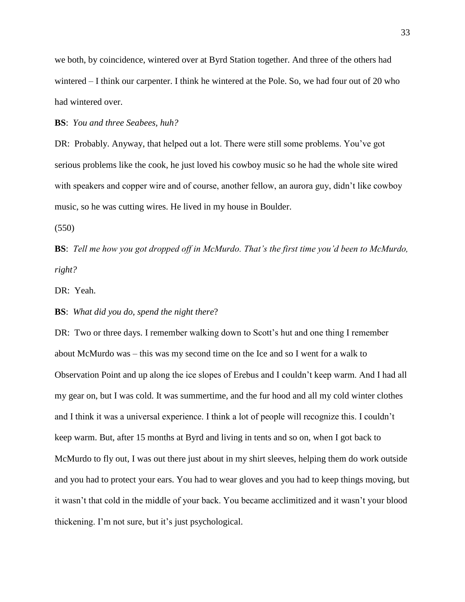we both, by coincidence, wintered over at Byrd Station together. And three of the others had wintered – I think our carpenter. I think he wintered at the Pole. So, we had four out of 20 who had wintered over.

**BS**: *You and three Seabees, huh?*

DR: Probably. Anyway, that helped out a lot. There were still some problems. You"ve got serious problems like the cook, he just loved his cowboy music so he had the whole site wired with speakers and copper wire and of course, another fellow, an aurora guy, didn't like cowboy music, so he was cutting wires. He lived in my house in Boulder.

(550)

**BS**: *Tell me how you got dropped off in McMurdo. That's the first time you'd been to McMurdo, right?*

DR: Yeah.

# **BS**: *What did you do, spend the night there*?

DR: Two or three days. I remember walking down to Scott's hut and one thing I remember about McMurdo was – this was my second time on the Ice and so I went for a walk to Observation Point and up along the ice slopes of Erebus and I couldn"t keep warm. And I had all my gear on, but I was cold. It was summertime, and the fur hood and all my cold winter clothes and I think it was a universal experience. I think a lot of people will recognize this. I couldn"t keep warm. But, after 15 months at Byrd and living in tents and so on, when I got back to McMurdo to fly out, I was out there just about in my shirt sleeves, helping them do work outside and you had to protect your ears. You had to wear gloves and you had to keep things moving, but it wasn"t that cold in the middle of your back. You became acclimitized and it wasn"t your blood thickening. I"m not sure, but it"s just psychological.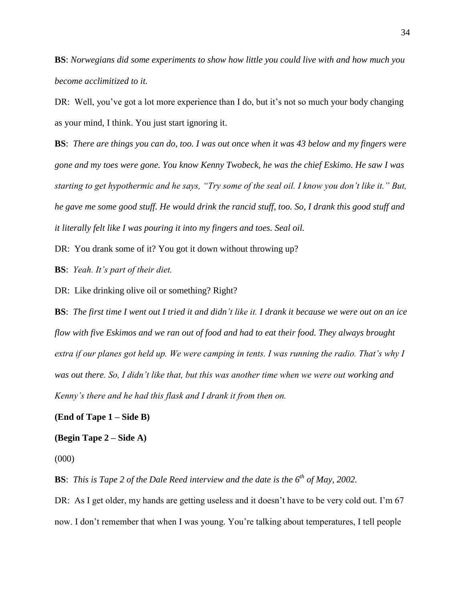**BS**: *Norwegians did some experiments to show how little you could live with and how much you become acclimitized to it.*

DR: Well, you've got a lot more experience than I do, but it's not so much your body changing as your mind, I think. You just start ignoring it.

**BS**: *There are things you can do, too. I was out once when it was 43 below and my fingers were gone and my toes were gone. You know Kenny Twobeck, he was the chief Eskimo. He saw I was starting to get hypothermic and he says, "Try some of the seal oil. I know you don't like it." But, he gave me some good stuff. He would drink the rancid stuff, too. So, I drank this good stuff and it literally felt like I was pouring it into my fingers and toes. Seal oil.*

DR: You drank some of it? You got it down without throwing up?

**BS**: *Yeah. It's part of their diet.*

DR: Like drinking olive oil or something? Right?

**BS**: *The first time I went out I tried it and didn't like it. I drank it because we were out on an ice flow with five Eskimos and we ran out of food and had to eat their food. They always brought extra if our planes got held up. We were camping in tents. I was running the radio. That's why I was out there. So, I didn't like that, but this was another time when we were out working and Kenny's there and he had this flask and I drank it from then on.* 

**(End of Tape 1 – Side B)**

**(Begin Tape 2 – Side A)**

(000)

**BS**: *This is Tape 2 of the Dale Reed interview and the date is the 6th of May, 2002.*

DR: As I get older, my hands are getting useless and it doesn't have to be very cold out. I'm 67 now. I don"t remember that when I was young. You"re talking about temperatures, I tell people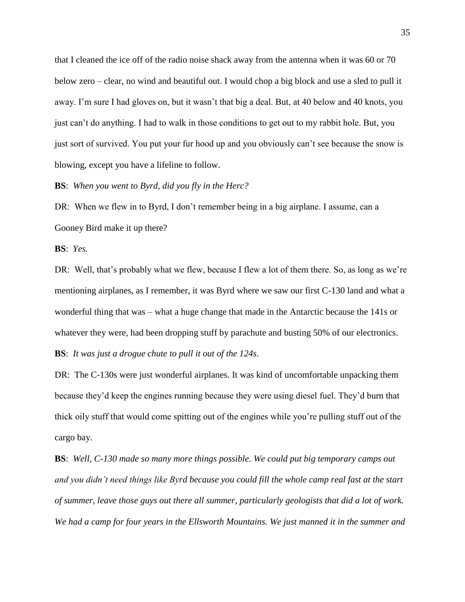that I cleaned the ice off of the radio noise shack away from the antenna when it was 60 or 70 below zero – clear, no wind and beautiful out. I would chop a big block and use a sled to pull it away. I"m sure I had gloves on, but it wasn"t that big a deal. But, at 40 below and 40 knots, you just can"t do anything. I had to walk in those conditions to get out to my rabbit hole. But, you just sort of survived. You put your fur hood up and you obviously can"t see because the snow is blowing, except you have a lifeline to follow.

**BS**: *When you went to Byrd, did you fly in the Herc?*

DR: When we flew in to Byrd, I don"t remember being in a big airplane. I assume, can a Gooney Bird make it up there?

**BS**: *Yes.*

DR: Well, that's probably what we flew, because I flew a lot of them there. So, as long as we're mentioning airplanes, as I remember, it was Byrd where we saw our first C-130 land and what a wonderful thing that was – what a huge change that made in the Antarctic because the 141s or whatever they were, had been dropping stuff by parachute and busting 50% of our electronics.

**BS**: *It was just a drogue chute to pull it out of the 124s*.

DR: The C-130s were just wonderful airplanes. It was kind of uncomfortable unpacking them because they"d keep the engines running because they were using diesel fuel. They"d burn that thick oily stuff that would come spitting out of the engines while you"re pulling stuff out of the cargo bay.

**BS**: *Well, C-130 made so many more things possible. We could put big temporary camps out and you didn't need things like Byrd because you could fill the whole camp real fast at the start of summer, leave those guys out there all summer, particularly geologists that did a lot of work. We had a camp for four years in the Ellsworth Mountains. We just manned it in the summer and*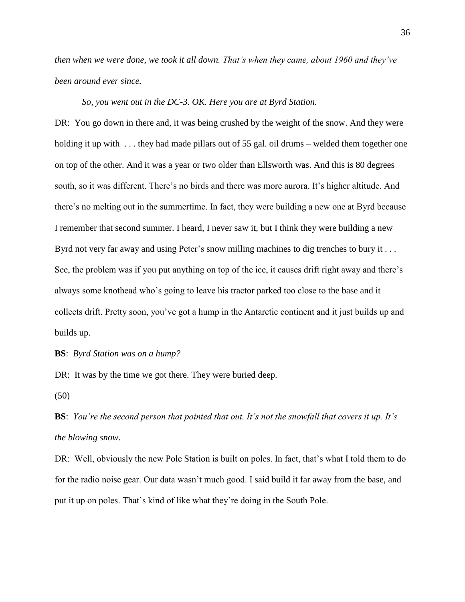*then when we were done, we took it all down. That's when they came, about 1960 and they've been around ever since.* 

## *So, you went out in the DC-3. OK. Here you are at Byrd Station.*

DR: You go down in there and, it was being crushed by the weight of the snow. And they were holding it up with . . . they had made pillars out of 55 gal. oil drums – welded them together one on top of the other. And it was a year or two older than Ellsworth was. And this is 80 degrees south, so it was different. There's no birds and there was more aurora. It's higher altitude. And there"s no melting out in the summertime. In fact, they were building a new one at Byrd because I remember that second summer. I heard, I never saw it, but I think they were building a new Byrd not very far away and using Peter's snow milling machines to dig trenches to bury it . . . See, the problem was if you put anything on top of the ice, it causes drift right away and there"s always some knothead who"s going to leave his tractor parked too close to the base and it collects drift. Pretty soon, you"ve got a hump in the Antarctic continent and it just builds up and builds up.

**BS**: *Byrd Station was on a hump?*

DR: It was by the time we got there. They were buried deep.

(50)

**BS**: *You're the second person that pointed that out. It's not the snowfall that covers it up. It's the blowing snow.*

DR: Well, obviously the new Pole Station is built on poles. In fact, that's what I told them to do for the radio noise gear. Our data wasn"t much good. I said build it far away from the base, and put it up on poles. That"s kind of like what they"re doing in the South Pole.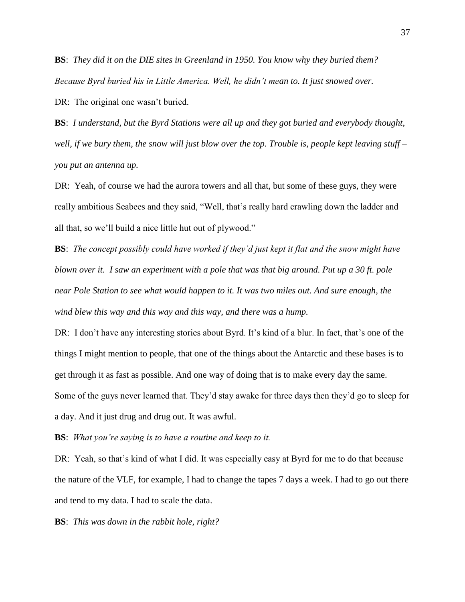**BS**: *They did it on the DIE sites in Greenland in 1950. You know why they buried them? Because Byrd buried his in Little America. Well, he didn't mean to. It just snowed over.*

DR: The original one wasn't buried.

**BS**: *I understand, but the Byrd Stations were all up and they got buried and everybody thought, well, if we bury them, the snow will just blow over the top. Trouble is, people kept leaving stuff – you put an antenna up.*

DR: Yeah, of course we had the aurora towers and all that, but some of these guys, they were really ambitious Seabees and they said, "Well, that"s really hard crawling down the ladder and all that, so we"ll build a nice little hut out of plywood."

**BS**: *The concept possibly could have worked if they'd just kept it flat and the snow might have blown over it. I saw an experiment with a pole that was that big around. Put up a 30 ft. pole near Pole Station to see what would happen to it. It was two miles out. And sure enough, the wind blew this way and this way and this way, and there was a hump.*

DR: I don't have any interesting stories about Byrd. It's kind of a blur. In fact, that's one of the things I might mention to people, that one of the things about the Antarctic and these bases is to get through it as fast as possible. And one way of doing that is to make every day the same. Some of the guys never learned that. They"d stay awake for three days then they"d go to sleep for a day. And it just drug and drug out. It was awful.

**BS**: *What you're saying is to have a routine and keep to it.*

DR: Yeah, so that's kind of what I did. It was especially easy at Byrd for me to do that because the nature of the VLF, for example, I had to change the tapes 7 days a week. I had to go out there and tend to my data. I had to scale the data.

**BS**: *This was down in the rabbit hole, right?*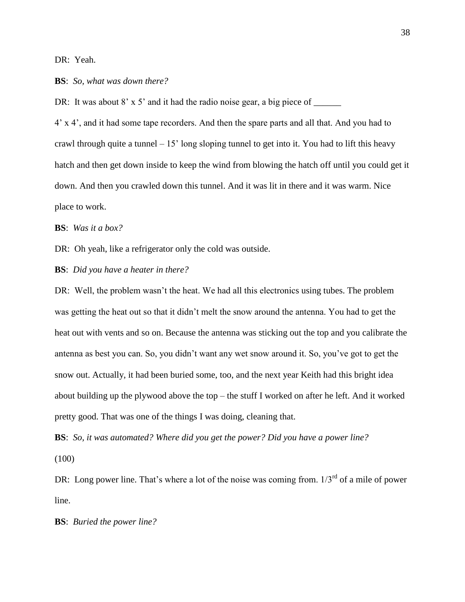DR: Yeah.

**BS**: *So, what was down there?*

DR: It was about  $8' \times 5'$  and it had the radio noise gear, a big piece of

4" x 4", and it had some tape recorders. And then the spare parts and all that. And you had to crawl through quite a tunnel  $-15'$  long sloping tunnel to get into it. You had to lift this heavy hatch and then get down inside to keep the wind from blowing the hatch off until you could get it down. And then you crawled down this tunnel. And it was lit in there and it was warm. Nice place to work.

**BS**: *Was it a box?*

DR: Oh yeah, like a refrigerator only the cold was outside.

**BS**: *Did you have a heater in there?*

DR: Well, the problem wasn"t the heat. We had all this electronics using tubes. The problem was getting the heat out so that it didn"t melt the snow around the antenna. You had to get the heat out with vents and so on. Because the antenna was sticking out the top and you calibrate the antenna as best you can. So, you didn"t want any wet snow around it. So, you"ve got to get the snow out. Actually, it had been buried some, too, and the next year Keith had this bright idea about building up the plywood above the top – the stuff I worked on after he left. And it worked pretty good. That was one of the things I was doing, cleaning that.

**BS**: *So, it was automated? Where did you get the power? Did you have a power line?*

(100)

DR: Long power line. That's where a lot of the noise was coming from.  $1/3^{rd}$  of a mile of power line.

**BS**: *Buried the power line?*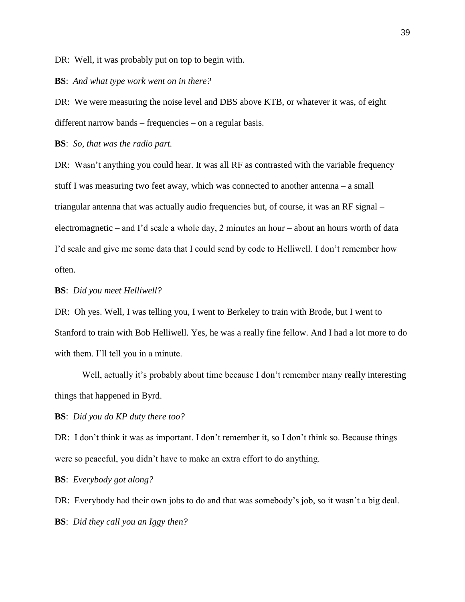DR: Well, it was probably put on top to begin with.

**BS**: *And what type work went on in there?*

DR: We were measuring the noise level and DBS above KTB, or whatever it was, of eight different narrow bands – frequencies – on a regular basis.

**BS**: *So, that was the radio part.*

DR: Wasn't anything you could hear. It was all RF as contrasted with the variable frequency stuff I was measuring two feet away, which was connected to another antenna – a small triangular antenna that was actually audio frequencies but, of course, it was an RF signal – electromagnetic – and I"d scale a whole day, 2 minutes an hour – about an hours worth of data I"d scale and give me some data that I could send by code to Helliwell. I don"t remember how often.

**BS**: *Did you meet Helliwell?*

DR: Oh yes. Well, I was telling you, I went to Berkeley to train with Brode, but I went to Stanford to train with Bob Helliwell. Yes, he was a really fine fellow. And I had a lot more to do with them. I'll tell you in a minute.

Well, actually it's probably about time because I don't remember many really interesting things that happened in Byrd.

**BS**: *Did you do KP duty there too?*

DR: I don't think it was as important. I don't remember it, so I don't think so. Because things were so peaceful, you didn"t have to make an extra effort to do anything.

**BS**: *Everybody got along?*

DR: Everybody had their own jobs to do and that was somebody's job, so it wasn't a big deal.

**BS**: *Did they call you an Iggy then?*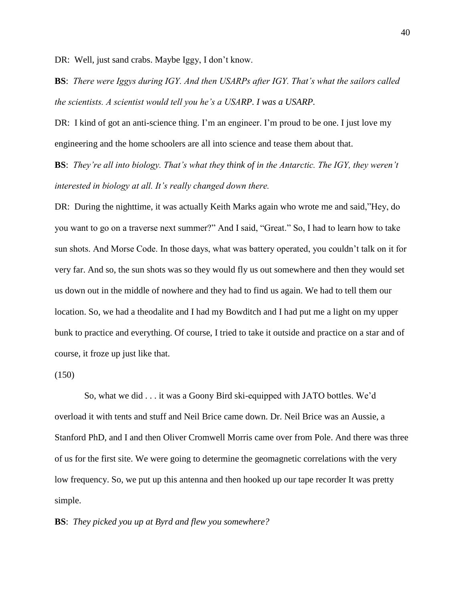DR: Well, just sand crabs. Maybe Iggy, I don't know.

**BS**: *There were Iggys during IGY. And then USARPs after IGY. That's what the sailors called the scientists. A scientist would tell you he's a USARP. I was a USARP.*

DR: I kind of got an anti-science thing. I'm an engineer. I'm proud to be one. I just love my engineering and the home schoolers are all into science and tease them about that.

**BS**: *They're all into biology. That's what they think of in the Antarctic. The IGY, they weren't interested in biology at all. It's really changed down there.*

DR: During the nighttime, it was actually Keith Marks again who wrote me and said,"Hey, do you want to go on a traverse next summer?" And I said, "Great." So, I had to learn how to take sun shots. And Morse Code. In those days, what was battery operated, you couldn"t talk on it for very far. And so, the sun shots was so they would fly us out somewhere and then they would set us down out in the middle of nowhere and they had to find us again. We had to tell them our location. So, we had a theodalite and I had my Bowditch and I had put me a light on my upper bunk to practice and everything. Of course, I tried to take it outside and practice on a star and of course, it froze up just like that.

(150)

So, what we did . . . it was a Goony Bird ski-equipped with JATO bottles. We"d overload it with tents and stuff and Neil Brice came down. Dr. Neil Brice was an Aussie, a Stanford PhD, and I and then Oliver Cromwell Morris came over from Pole. And there was three of us for the first site. We were going to determine the geomagnetic correlations with the very low frequency. So, we put up this antenna and then hooked up our tape recorder It was pretty simple.

**BS**: *They picked you up at Byrd and flew you somewhere?*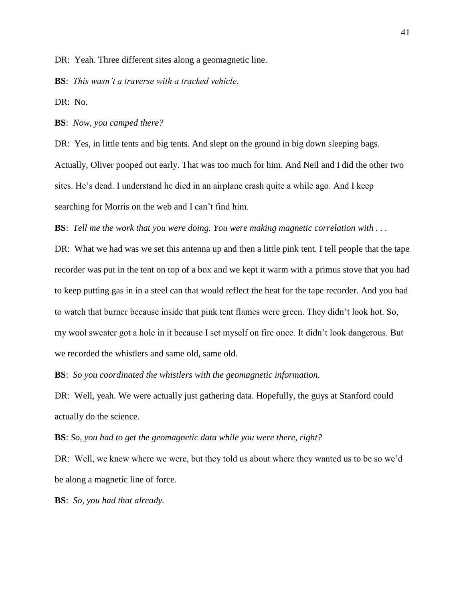DR: Yeah. Three different sites along a geomagnetic line.

**BS**: *This wasn't a traverse with a tracked vehicle.*

DR: No.

**BS**: *Now, you camped there?*

DR: Yes, in little tents and big tents. And slept on the ground in big down sleeping bags.

Actually, Oliver pooped out early. That was too much for him. And Neil and I did the other two sites. He's dead. I understand he died in an airplane crash quite a while ago. And I keep searching for Morris on the web and I can"t find him.

**BS**: *Tell me the work that you were doing. You were making magnetic correlation with . . .*

DR: What we had was we set this antenna up and then a little pink tent. I tell people that the tape recorder was put in the tent on top of a box and we kept it warm with a primus stove that you had to keep putting gas in in a steel can that would reflect the heat for the tape recorder. And you had to watch that burner because inside that pink tent flames were green. They didn"t look hot. So, my wool sweater got a hole in it because I set myself on fire once. It didn"t look dangerous. But we recorded the whistlers and same old, same old.

**BS**: *So you coordinated the whistlers with the geomagnetic information.*

DR: Well, yeah. We were actually just gathering data. Hopefully, the guys at Stanford could actually do the science.

**BS**: *So, you had to get the geomagnetic data while you were there, right?*

DR: Well, we knew where we were, but they told us about where they wanted us to be so we'd be along a magnetic line of force.

**BS**: *So, you had that already.*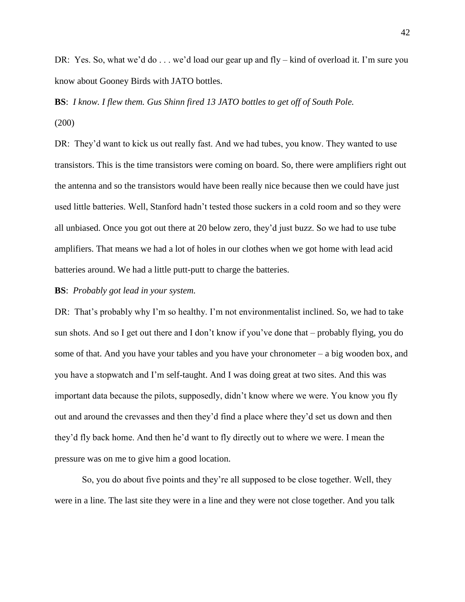DR: Yes. So, what we'd do . . . we'd load our gear up and fly – kind of overload it. I'm sure you know about Gooney Birds with JATO bottles.

**BS**: *I know. I flew them. Gus Shinn fired 13 JATO bottles to get off of South Pole.* (200)

DR: They"d want to kick us out really fast. And we had tubes, you know. They wanted to use transistors. This is the time transistors were coming on board. So, there were amplifiers right out the antenna and so the transistors would have been really nice because then we could have just used little batteries. Well, Stanford hadn"t tested those suckers in a cold room and so they were all unbiased. Once you got out there at 20 below zero, they"d just buzz. So we had to use tube amplifiers. That means we had a lot of holes in our clothes when we got home with lead acid batteries around. We had a little putt-putt to charge the batteries.

**BS**: *Probably got lead in your system.*

DR: That's probably why I'm so healthy. I'm not environmentalist inclined. So, we had to take sun shots. And so I get out there and I don"t know if you"ve done that – probably flying, you do some of that. And you have your tables and you have your chronometer – a big wooden box, and you have a stopwatch and I"m self-taught. And I was doing great at two sites. And this was important data because the pilots, supposedly, didn"t know where we were. You know you fly out and around the crevasses and then they"d find a place where they"d set us down and then they"d fly back home. And then he"d want to fly directly out to where we were. I mean the pressure was on me to give him a good location.

So, you do about five points and they"re all supposed to be close together. Well, they were in a line. The last site they were in a line and they were not close together. And you talk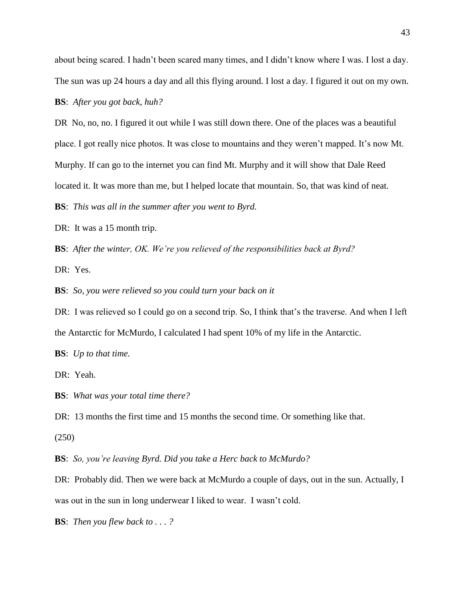about being scared. I hadn"t been scared many times, and I didn"t know where I was. I lost a day.

The sun was up 24 hours a day and all this flying around. I lost a day. I figured it out on my own.

**BS**: *After you got back, huh?*

DR No, no, no. I figured it out while I was still down there. One of the places was a beautiful place. I got really nice photos. It was close to mountains and they weren"t mapped. It"s now Mt. Murphy. If can go to the internet you can find Mt. Murphy and it will show that Dale Reed located it. It was more than me, but I helped locate that mountain. So, that was kind of neat.

**BS**: *This was all in the summer after you went to Byrd.*

DR: It was a 15 month trip.

**BS**: *After the winter, OK. We're you relieved of the responsibilities back at Byrd?*

DR: Yes.

**BS**: *So, you were relieved so you could turn your back on it*

DR: I was relieved so I could go on a second trip. So, I think that's the traverse. And when I left the Antarctic for McMurdo, I calculated I had spent 10% of my life in the Antarctic.

**BS**: *Up to that time.*

DR: Yeah.

**BS**: *What was your total time there?*

DR: 13 months the first time and 15 months the second time. Or something like that.

(250)

**BS**: *So, you're leaving Byrd. Did you take a Herc back to McMurdo?*

DR: Probably did. Then we were back at McMurdo a couple of days, out in the sun. Actually, I was out in the sun in long underwear I liked to wear. I wasn't cold.

**BS**: *Then you flew back to . . . ?*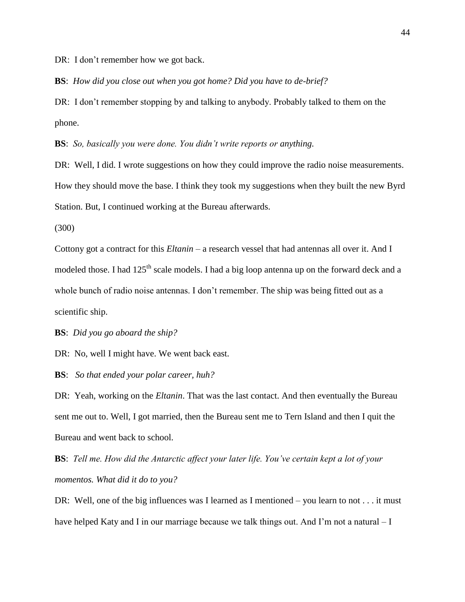DR: I don't remember how we got back.

**BS**: *How did you close out when you got home? Did you have to de-brief?*

DR: I don't remember stopping by and talking to anybody. Probably talked to them on the phone.

**BS**: *So, basically you were done. You didn't write reports or anything.*

DR: Well, I did. I wrote suggestions on how they could improve the radio noise measurements. How they should move the base. I think they took my suggestions when they built the new Byrd Station. But, I continued working at the Bureau afterwards.

(300)

Cottony got a contract for this *Eltanin* – a research vessel that had antennas all over it. And I modeled those. I had 125<sup>th</sup> scale models. I had a big loop antenna up on the forward deck and a whole bunch of radio noise antennas. I don"t remember. The ship was being fitted out as a scientific ship.

**BS**: *Did you go aboard the ship?*

DR: No, well I might have. We went back east.

**BS**: *So that ended your polar career, huh?*

DR: Yeah, working on the *Eltanin*. That was the last contact. And then eventually the Bureau sent me out to. Well, I got married, then the Bureau sent me to Tern Island and then I quit the Bureau and went back to school.

**BS**: *Tell me. How did the Antarctic affect your later life. You've certain kept a lot of your momentos. What did it do to you?*

DR: Well, one of the big influences was I learned as I mentioned – you learn to not . . . it must have helped Katy and I in our marriage because we talk things out. And I'm not a natural – I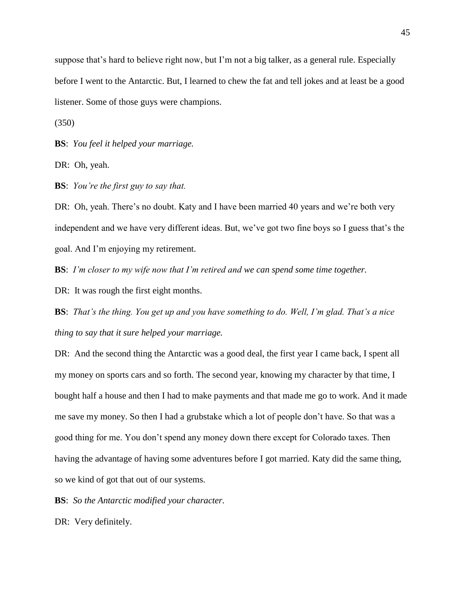suppose that"s hard to believe right now, but I"m not a big talker, as a general rule. Especially before I went to the Antarctic. But, I learned to chew the fat and tell jokes and at least be a good listener. Some of those guys were champions.

(350)

**BS**: *You feel it helped your marriage.*

DR: Oh, yeah.

**BS**: *You're the first guy to say that.*

DR: Oh, yeah. There's no doubt. Katy and I have been married 40 years and we're both very independent and we have very different ideas. But, we"ve got two fine boys so I guess that"s the goal. And I"m enjoying my retirement.

**BS**: *I'm closer to my wife now that I'm retired and we can spend some time together.*

DR: It was rough the first eight months.

**BS**: *That's the thing. You get up and you have something to do. Well, I'm glad. That's a nice thing to say that it sure helped your marriage.*

DR: And the second thing the Antarctic was a good deal, the first year I came back, I spent all my money on sports cars and so forth. The second year, knowing my character by that time, I bought half a house and then I had to make payments and that made me go to work. And it made me save my money. So then I had a grubstake which a lot of people don"t have. So that was a good thing for me. You don"t spend any money down there except for Colorado taxes. Then having the advantage of having some adventures before I got married. Katy did the same thing, so we kind of got that out of our systems.

**BS**: *So the Antarctic modified your character.*

DR: Very definitely.